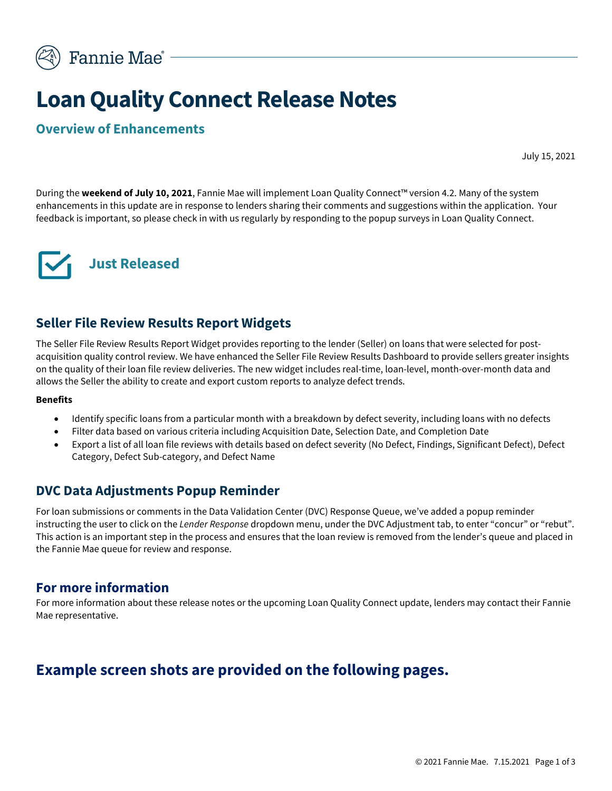

# **Loan Quality Connect Release Notes**

#### **Overview of Enhancements**

July 15, 2021

During the **weekend of July 10, 2021**, Fannie Mae will implement Loan Quality Connect™ version 4.2. Many of the system enhancements in this update are in response to lenders sharing their comments and suggestions within the application. Your feedback is important, so please check in with us regularly by responding to the popup surveys in Loan Quality Connect.



#### **Seller File Review Results Report Widgets**

The Seller File Review Results Report Widget provides reporting to the lender (Seller) on loans that were selected for postacquisition quality control review. We have enhanced the Seller File Review Results Dashboard to provide sellers greater insights on the quality of their loan file review deliveries. The new widget includes real-time, loan-level, month-over-month data and allows the Seller the ability to create and export custom reports to analyze defect trends.

#### **Benefits**

- Identify specific loans from a particular month with a breakdown by defect severity, including loans with no defects
- Filter data based on various criteria including Acquisition Date, Selection Date, and Completion Date
- Export a list of all loan file reviews with details based on defect severity (No Defect, Findings, Significant Defect), Defect Category, Defect Sub-category, and Defect Name

#### **DVC Data Adjustments Popup Reminder**

For loan submissions or comments in the Data Validation Center (DVC) Response Queue, we've added a popup reminder instructing the user to click on the *Lender Response* dropdown menu, under the DVC Adjustment tab, to enter "concur" or "rebut". This action is an important step in the process and ensures that the loan review is removed from the lender's queue and placed in the Fannie Mae queue for review and response.

#### **For more information**

For more information about these release notes or the upcoming Loan Quality Connect update, lenders may contact their Fannie Mae representative.

### **Example screen shots are provided on the following pages.**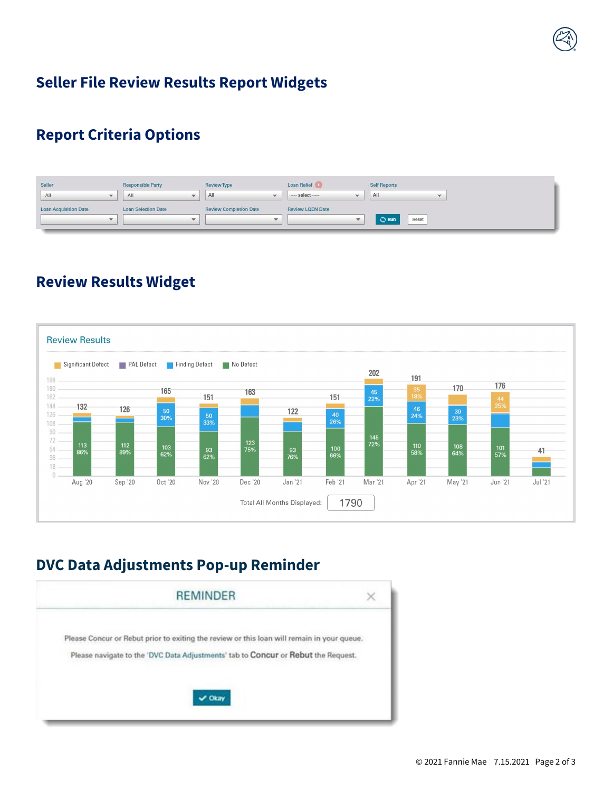### **Seller File Review Results Report Widgets**

### **Report Criteria Options**

| Seller                       | <b>Responsible Party</b>   |              | and the first of the property of<br>Review Type | Loan Relief              | Self Reports          |
|------------------------------|----------------------------|--------------|-------------------------------------------------|--------------------------|-----------------------|
| All                          | All                        | $\sim$       | All<br>mar.                                     | $-$ select $-$<br>$\sim$ | All<br>$\sim$         |
| <b>Loan Acquisition Date</b> | <b>Loan Selection Date</b> |              | <b>Review Completion Date</b>                   | <b>Review LODN Date</b>  |                       |
|                              |                            | $\mathbf{w}$ | w.                                              |                          | <b>C</b> Run<br>Reset |

### **Review Results Widget**



## **DVC Data Adjustments Pop-up Reminder**